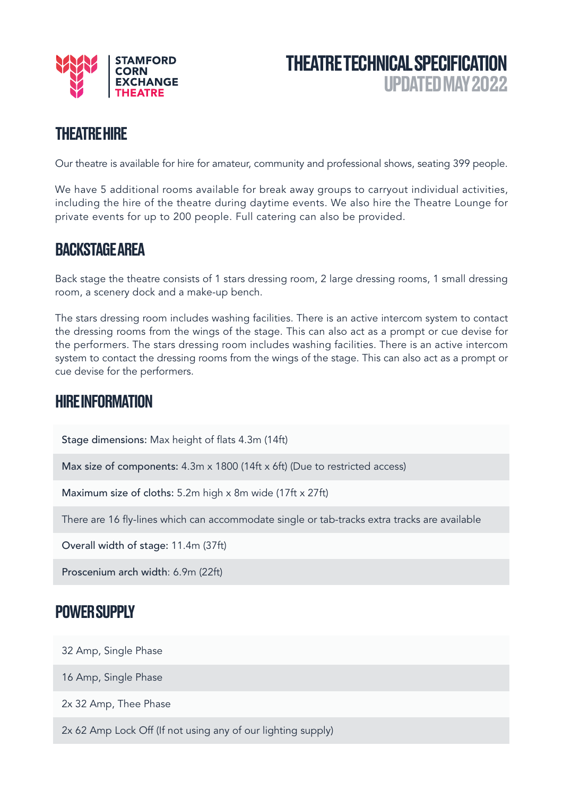



### THEATRE HIRE

Our theatre is available for hire for amateur, community and professional shows, seating 399 people.

We have 5 additional rooms available for break away groups to carryout individual activities, including the hire of the theatre during daytime events. We also hire the Theatre Lounge for private events for up to 200 people. Full catering can also be provided.

#### BACKSTAGE AREA

Back stage the theatre consists of 1 stars dressing room, 2 large dressing rooms, 1 small dressing room, a scenery dock and a make-up bench.

The stars dressing room includes washing facilities. There is an active intercom system to contact the dressing rooms from the wings of the stage. This can also act as a prompt or cue devise for the performers. The stars dressing room includes washing facilities. There is an active intercom system to contact the dressing rooms from the wings of the stage. This can also act as a prompt or cue devise for the performers.

#### HIRE INFORMATION

Stage dimensions: Max height of flats 4.3m (14ft)

Max size of components: 4.3m x 1800 (14ft x 6ft) (Due to restricted access)

Maximum size of cloths: 5.2m high x 8m wide (17ft x 27ft)

There are 16 fly-lines which can accommodate single or tab-tracks extra tracks are available

Overall width of stage: 11.4m (37ft)

Proscenium arch width: 6.9m (22ft)

#### POWER SUPPLY

32 Amp, Single Phase

16 Amp, Single Phase

2x 32 Amp, Thee Phase

2x 62 Amp Lock Off (If not using any of our lighting supply)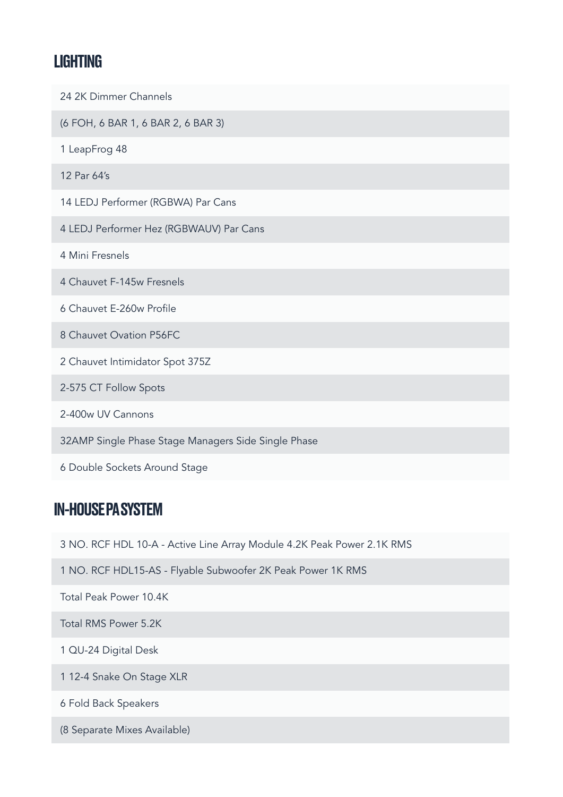## LIGHTING

| 24 2K Dimmer Channels                               |
|-----------------------------------------------------|
| (6 FOH, 6 BAR 1, 6 BAR 2, 6 BAR 3)                  |
| 1 LeapFrog 48                                       |
| 12 Par 64's                                         |
| 14 LEDJ Performer (RGBWA) Par Cans                  |
| 4 LEDJ Performer Hez (RGBWAUV) Par Cans             |
| 4 Mini Fresnels                                     |
| 4 Chauvet F-145w Fresnels                           |
| 6 Chauvet E-260w Profile                            |
| 8 Chauvet Ovation P56FC                             |
| 2 Chauvet Intimidator Spot 375Z                     |
| 2-575 CT Follow Spots                               |
| 2-400w UV Cannons                                   |
| 32AMP Single Phase Stage Managers Side Single Phase |
| 6 Double Sockets Around Stage                       |

# IN-HOUSE PA SYSTEM

3 NO. RCF HDL 10-A - Active Line Array Module 4.2K Peak Power 2.1K RMS

1 NO. RCF HDL15-AS - Flyable Subwoofer 2K Peak Power 1K RMS

Total Peak Power 10.4K

Total RMS Power 5.2K

1 QU-24 Digital Desk

1 12-4 Snake On Stage XLR

6 Fold Back Speakers

(8 Separate Mixes Available)